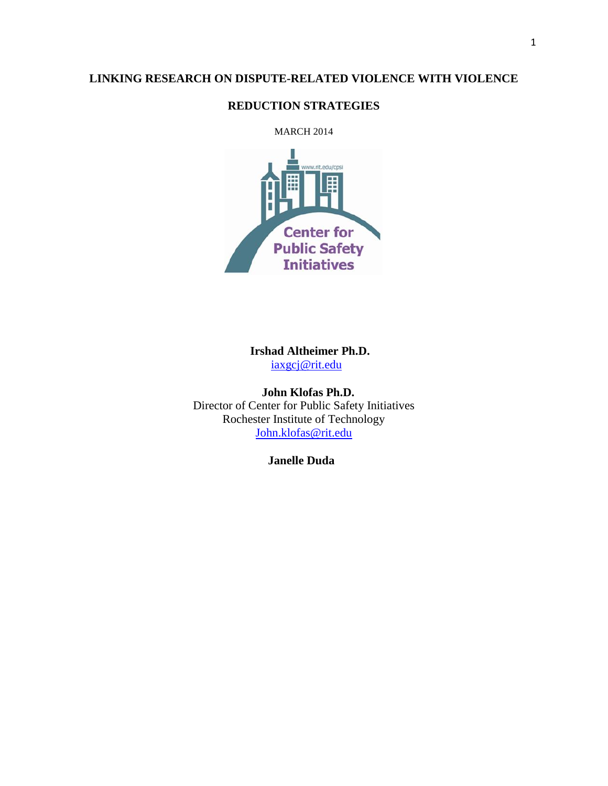# **LINKING RESEARCH ON DISPUTE-RELATED VIOLENCE WITH VIOLENCE**

# **REDUCTION STRATEGIES**

MARCH 2014



**Irshad Altheimer Ph.D.** [iaxgcj@rit.edu](mailto:iaxgcj@rit.edu)

 **John Klofas Ph.D.** Director of Center for Public Safety Initiatives Rochester Institute of Technology [John.klofas@rit.edu](mailto:John.klofas@rit.edu)

 **Janelle Duda**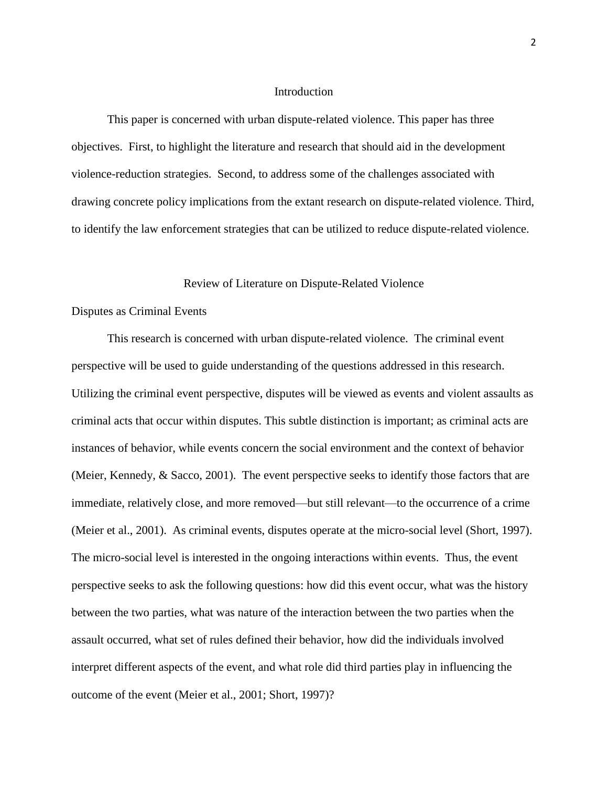#### **Introduction**

This paper is concerned with urban dispute-related violence. This paper has three objectives. First, to highlight the literature and research that should aid in the development violence-reduction strategies. Second, to address some of the challenges associated with drawing concrete policy implications from the extant research on dispute-related violence. Third, to identify the law enforcement strategies that can be utilized to reduce dispute-related violence.

#### Review of Literature on Dispute-Related Violence

# Disputes as Criminal Events

This research is concerned with urban dispute-related violence. The criminal event perspective will be used to guide understanding of the questions addressed in this research. Utilizing the criminal event perspective, disputes will be viewed as events and violent assaults as criminal acts that occur within disputes. This subtle distinction is important; as criminal acts are instances of behavior, while events concern the social environment and the context of behavior [\(Meier, Kennedy, & Sacco, 2001\)](#page-22-0). The event perspective seeks to identify those factors that are immediate, relatively close, and more removed—but still relevant—to the occurrence of a crime [\(Meier et al., 2001\)](#page-22-0). As criminal events, disputes operate at the micro-social level [\(Short, 1997\)](#page-22-1). The micro-social level is interested in the ongoing interactions within events. Thus, the event perspective seeks to ask the following questions: how did this event occur, what was the history between the two parties, what was nature of the interaction between the two parties when the assault occurred, what set of rules defined their behavior, how did the individuals involved interpret different aspects of the event, and what role did third parties play in influencing the outcome of the event [\(Meier et al., 2001;](#page-22-0) [Short, 1997\)](#page-22-1)?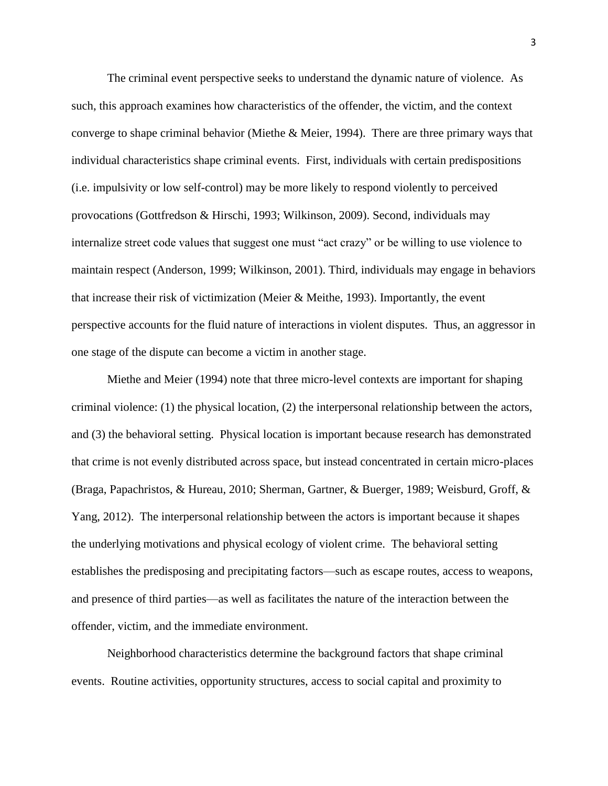The criminal event perspective seeks to understand the dynamic nature of violence. As such, this approach examines how characteristics of the offender, the victim, and the context converge to shape criminal behavior [\(Miethe & Meier, 1994\)](#page-22-2). There are three primary ways that individual characteristics shape criminal events. First, individuals with certain predispositions (i.e. impulsivity or low self-control) may be more likely to respond violently to perceived provocations [\(Gottfredson & Hirschi, 1993;](#page-21-0) [Wilkinson, 2009\)](#page-23-0). Second, individuals may internalize street code values that suggest one must "act crazy" or be willing to use violence to maintain respect [\(Anderson, 1999;](#page-21-1) [Wilkinson, 2001\)](#page-23-1). Third, individuals may engage in behaviors that increase their risk of victimization [\(Meier & Meithe, 1993\)](#page-22-3). Importantly, the event perspective accounts for the fluid nature of interactions in violent disputes. Thus, an aggressor in one stage of the dispute can become a victim in another stage.

Miethe and Meier [\(1994\)](#page-22-2) note that three micro-level contexts are important for shaping criminal violence: (1) the physical location, (2) the interpersonal relationship between the actors, and (3) the behavioral setting. Physical location is important because research has demonstrated that crime is not evenly distributed across space, but instead concentrated in certain micro-places [\(Braga, Papachristos, & Hureau, 2010;](#page-21-2) [Sherman, Gartner, & Buerger, 1989;](#page-22-4) [Weisburd, Groff, &](#page-23-2)  [Yang, 2012\)](#page-23-2). The interpersonal relationship between the actors is important because it shapes the underlying motivations and physical ecology of violent crime. The behavioral setting establishes the predisposing and precipitating factors—such as escape routes, access to weapons, and presence of third parties—as well as facilitates the nature of the interaction between the offender, victim, and the immediate environment.

Neighborhood characteristics determine the background factors that shape criminal events. Routine activities, opportunity structures, access to social capital and proximity to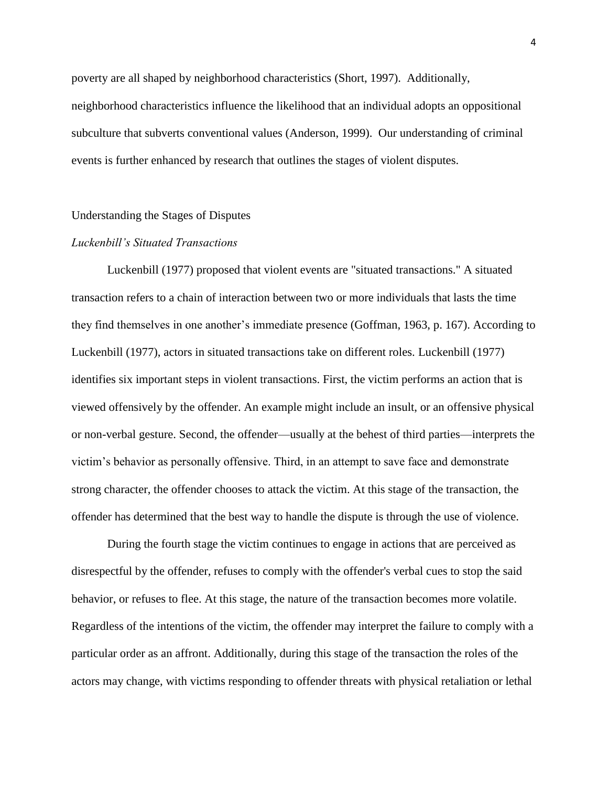poverty are all shaped by neighborhood characteristics [\(Short, 1997\)](#page-22-1). Additionally, neighborhood characteristics influence the likelihood that an individual adopts an oppositional subculture that subverts conventional values [\(Anderson, 1999\)](#page-21-1). Our understanding of criminal events is further enhanced by research that outlines the stages of violent disputes.

# Understanding the Stages of Disputes

# *Luckenbill's Situated Transactions*

Luckenbill [\(1977\)](#page-22-5) proposed that violent events are "situated transactions." A situated transaction refers to a chain of interaction between two or more individuals that lasts the time they find themselves in one another's immediate presence [\(Goffman, 1963, p. 167\)](#page-21-3). According to Luckenbill [\(1977\)](#page-22-5), actors in situated transactions take on different roles. Luckenbill [\(1977\)](#page-22-5) identifies six important steps in violent transactions. First, the victim performs an action that is viewed offensively by the offender. An example might include an insult, or an offensive physical or non-verbal gesture. Second, the offender—usually at the behest of third parties—interprets the victim's behavior as personally offensive. Third, in an attempt to save face and demonstrate strong character, the offender chooses to attack the victim. At this stage of the transaction, the offender has determined that the best way to handle the dispute is through the use of violence.

During the fourth stage the victim continues to engage in actions that are perceived as disrespectful by the offender, refuses to comply with the offender's verbal cues to stop the said behavior, or refuses to flee. At this stage, the nature of the transaction becomes more volatile. Regardless of the intentions of the victim, the offender may interpret the failure to comply with a particular order as an affront. Additionally, during this stage of the transaction the roles of the actors may change, with victims responding to offender threats with physical retaliation or lethal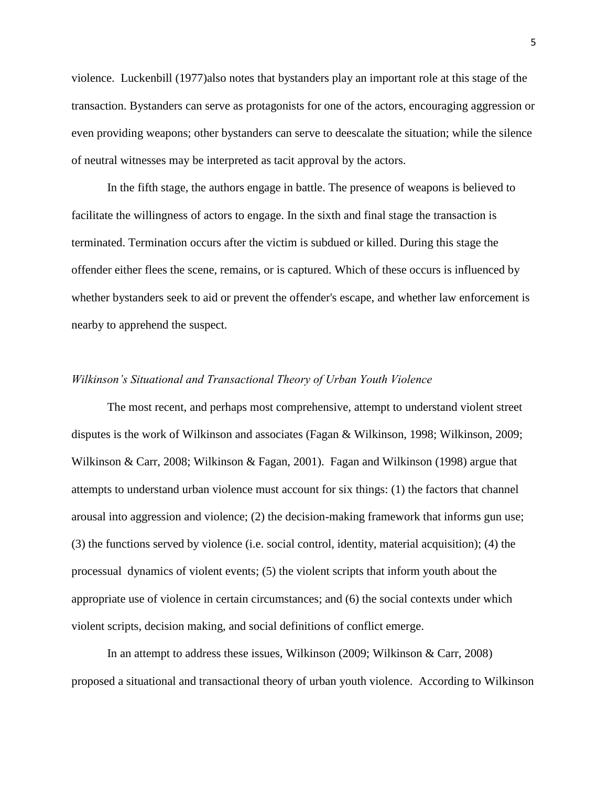violence. Luckenbill [\(1977\)](#page-22-5)also notes that bystanders play an important role at this stage of the transaction. Bystanders can serve as protagonists for one of the actors, encouraging aggression or even providing weapons; other bystanders can serve to deescalate the situation; while the silence of neutral witnesses may be interpreted as tacit approval by the actors.

In the fifth stage, the authors engage in battle. The presence of weapons is believed to facilitate the willingness of actors to engage. In the sixth and final stage the transaction is terminated. Termination occurs after the victim is subdued or killed. During this stage the offender either flees the scene, remains, or is captured. Which of these occurs is influenced by whether bystanders seek to aid or prevent the offender's escape, and whether law enforcement is nearby to apprehend the suspect.

#### *Wilkinson's Situational and Transactional Theory of Urban Youth Violence*

The most recent, and perhaps most comprehensive, attempt to understand violent street disputes is the work of Wilkinson and associates [\(Fagan & Wilkinson, 1998;](#page-21-4) [Wilkinson, 2009;](#page-23-0) [Wilkinson & Carr, 2008;](#page-23-3) [Wilkinson & Fagan, 2001\)](#page-23-4). Fagan and Wilkinson [\(1998\)](#page-21-4) argue that attempts to understand urban violence must account for six things: (1) the factors that channel arousal into aggression and violence; (2) the decision-making framework that informs gun use; (3) the functions served by violence (i.e. social control, identity, material acquisition); (4) the processual dynamics of violent events; (5) the violent scripts that inform youth about the appropriate use of violence in certain circumstances; and (6) the social contexts under which violent scripts, decision making, and social definitions of conflict emerge.

In an attempt to address these issues, Wilkinson [\(2009;](#page-23-0) [Wilkinson & Carr, 2008\)](#page-23-3) proposed a situational and transactional theory of urban youth violence. According to Wilkinson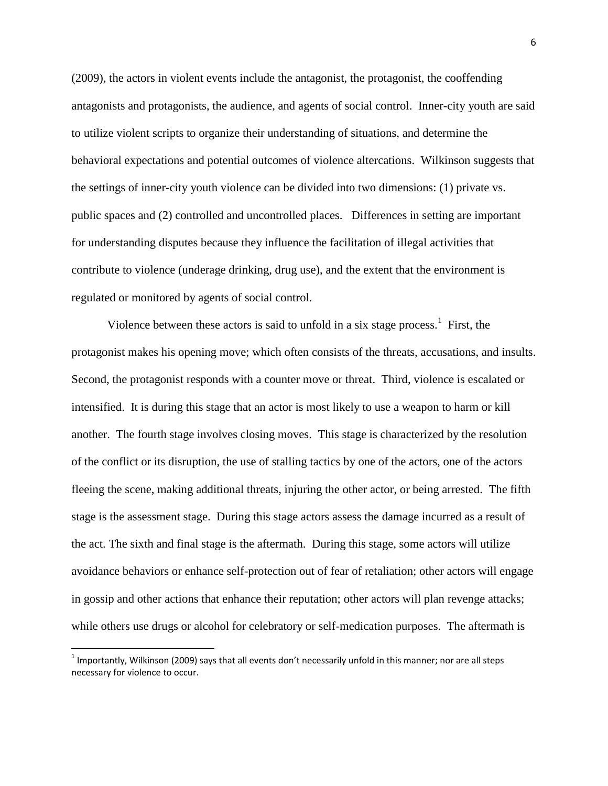[\(2009\)](#page-23-0), the actors in violent events include the antagonist, the protagonist, the cooffending antagonists and protagonists, the audience, and agents of social control. Inner-city youth are said to utilize violent scripts to organize their understanding of situations, and determine the behavioral expectations and potential outcomes of violence altercations. Wilkinson suggests that the settings of inner-city youth violence can be divided into two dimensions: (1) private vs. public spaces and (2) controlled and uncontrolled places. Differences in setting are important for understanding disputes because they influence the facilitation of illegal activities that contribute to violence (underage drinking, drug use), and the extent that the environment is regulated or monitored by agents of social control.

Violence between these actors is said to unfold in a six stage process. $<sup>1</sup>$  First, the</sup> protagonist makes his opening move; which often consists of the threats, accusations, and insults. Second, the protagonist responds with a counter move or threat. Third, violence is escalated or intensified. It is during this stage that an actor is most likely to use a weapon to harm or kill another. The fourth stage involves closing moves. This stage is characterized by the resolution of the conflict or its disruption, the use of stalling tactics by one of the actors, one of the actors fleeing the scene, making additional threats, injuring the other actor, or being arrested. The fifth stage is the assessment stage. During this stage actors assess the damage incurred as a result of the act. The sixth and final stage is the aftermath. During this stage, some actors will utilize avoidance behaviors or enhance self-protection out of fear of retaliation; other actors will engage in gossip and other actions that enhance their reputation; other actors will plan revenge attacks; while others use drugs or alcohol for celebratory or self-medication purposes. The aftermath is

l

<sup>&</sup>lt;sup>1</sup> Importantly, Wilkinson (2009) says that all events don't necessarily unfold in this manner; nor are all steps necessary for violence to occur.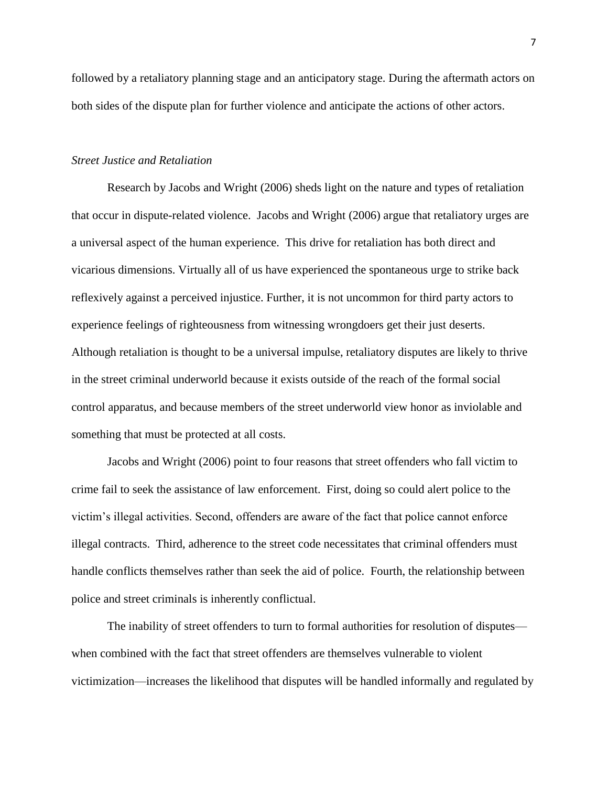followed by a retaliatory planning stage and an anticipatory stage. During the aftermath actors on both sides of the dispute plan for further violence and anticipate the actions of other actors.

# *Street Justice and Retaliation*

Research by Jacobs and Wright [\(2006\)](#page-21-5) sheds light on the nature and types of retaliation that occur in dispute-related violence. Jacobs and Wright [\(2006\)](#page-21-5) argue that retaliatory urges are a universal aspect of the human experience. This drive for retaliation has both direct and vicarious dimensions. Virtually all of us have experienced the spontaneous urge to strike back reflexively against a perceived injustice. Further, it is not uncommon for third party actors to experience feelings of righteousness from witnessing wrongdoers get their just deserts. Although retaliation is thought to be a universal impulse, retaliatory disputes are likely to thrive in the street criminal underworld because it exists outside of the reach of the formal social control apparatus, and because members of the street underworld view honor as inviolable and something that must be protected at all costs.

Jacobs and Wright [\(2006\)](#page-21-5) point to four reasons that street offenders who fall victim to crime fail to seek the assistance of law enforcement. First, doing so could alert police to the victim's illegal activities. Second, offenders are aware of the fact that police cannot enforce illegal contracts. Third, adherence to the street code necessitates that criminal offenders must handle conflicts themselves rather than seek the aid of police. Fourth, the relationship between police and street criminals is inherently conflictual.

The inability of street offenders to turn to formal authorities for resolution of disputes when combined with the fact that street offenders are themselves vulnerable to violent victimization—increases the likelihood that disputes will be handled informally and regulated by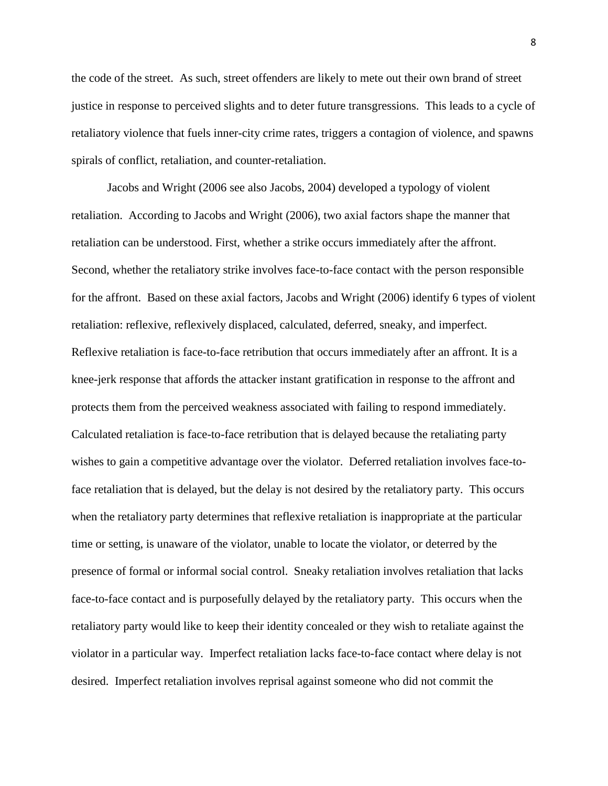the code of the street. As such, street offenders are likely to mete out their own brand of street justice in response to perceived slights and to deter future transgressions. This leads to a cycle of retaliatory violence that fuels inner-city crime rates, triggers a contagion of violence, and spawns spirals of conflict, retaliation, and counter-retaliation.

Jacobs and Wright [\(2006 see also Jacobs, 2004\)](#page-21-5) developed a typology of violent retaliation. According to Jacobs and Wright [\(2006\)](#page-21-5), two axial factors shape the manner that retaliation can be understood. First, whether a strike occurs immediately after the affront. Second, whether the retaliatory strike involves face-to-face contact with the person responsible for the affront. Based on these axial factors, Jacobs and Wright [\(2006\)](#page-21-5) identify 6 types of violent retaliation: reflexive, reflexively displaced, calculated, deferred, sneaky, and imperfect. Reflexive retaliation is face-to-face retribution that occurs immediately after an affront. It is a knee-jerk response that affords the attacker instant gratification in response to the affront and protects them from the perceived weakness associated with failing to respond immediately. Calculated retaliation is face-to-face retribution that is delayed because the retaliating party wishes to gain a competitive advantage over the violator. Deferred retaliation involves face-toface retaliation that is delayed, but the delay is not desired by the retaliatory party. This occurs when the retaliatory party determines that reflexive retaliation is inappropriate at the particular time or setting, is unaware of the violator, unable to locate the violator, or deterred by the presence of formal or informal social control. Sneaky retaliation involves retaliation that lacks face-to-face contact and is purposefully delayed by the retaliatory party. This occurs when the retaliatory party would like to keep their identity concealed or they wish to retaliate against the violator in a particular way. Imperfect retaliation lacks face-to-face contact where delay is not desired. Imperfect retaliation involves reprisal against someone who did not commit the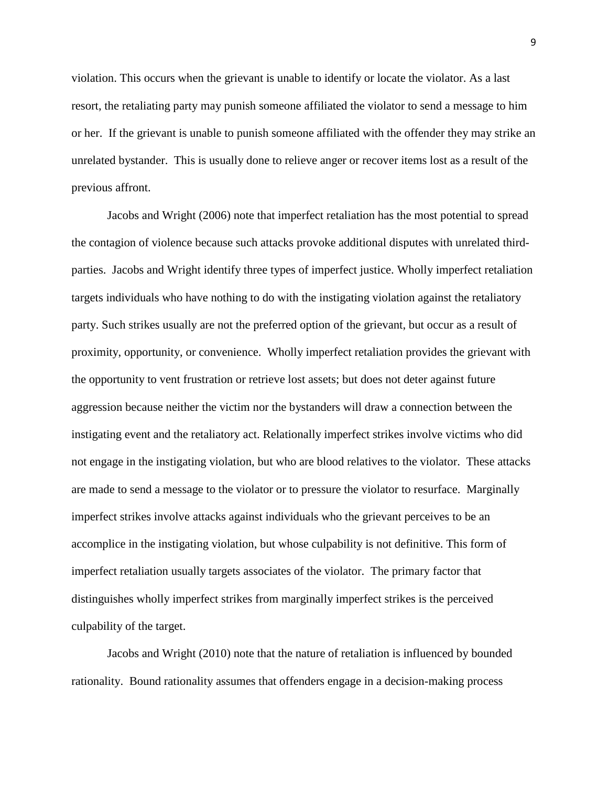violation. This occurs when the grievant is unable to identify or locate the violator. As a last resort, the retaliating party may punish someone affiliated the violator to send a message to him or her. If the grievant is unable to punish someone affiliated with the offender they may strike an unrelated bystander. This is usually done to relieve anger or recover items lost as a result of the previous affront.

Jacobs and Wright [\(2006\)](#page-21-5) note that imperfect retaliation has the most potential to spread the contagion of violence because such attacks provoke additional disputes with unrelated thirdparties. Jacobs and Wright identify three types of imperfect justice. Wholly imperfect retaliation targets individuals who have nothing to do with the instigating violation against the retaliatory party. Such strikes usually are not the preferred option of the grievant, but occur as a result of proximity, opportunity, or convenience. Wholly imperfect retaliation provides the grievant with the opportunity to vent frustration or retrieve lost assets; but does not deter against future aggression because neither the victim nor the bystanders will draw a connection between the instigating event and the retaliatory act. Relationally imperfect strikes involve victims who did not engage in the instigating violation, but who are blood relatives to the violator. These attacks are made to send a message to the violator or to pressure the violator to resurface. Marginally imperfect strikes involve attacks against individuals who the grievant perceives to be an accomplice in the instigating violation, but whose culpability is not definitive. This form of imperfect retaliation usually targets associates of the violator. The primary factor that distinguishes wholly imperfect strikes from marginally imperfect strikes is the perceived culpability of the target.

Jacobs and Wright [\(2010\)](#page-21-6) note that the nature of retaliation is influenced by bounded rationality. Bound rationality assumes that offenders engage in a decision-making process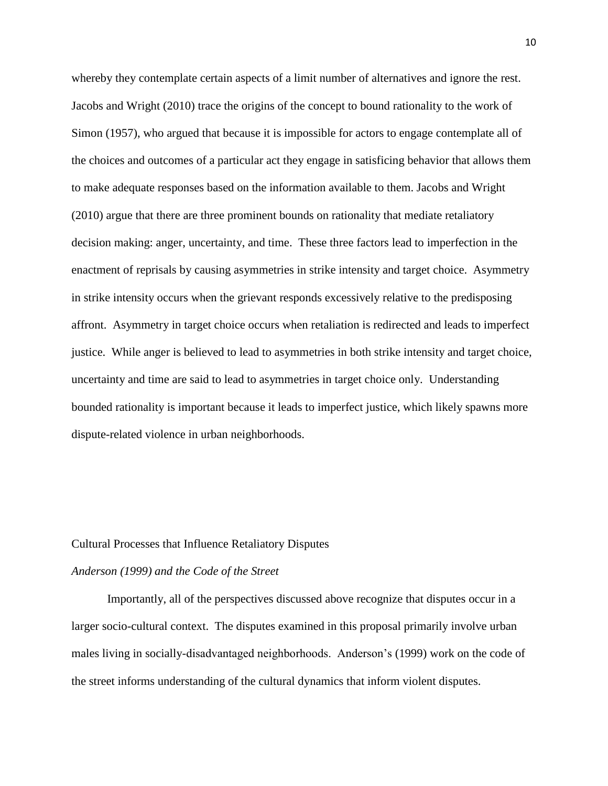whereby they contemplate certain aspects of a limit number of alternatives and ignore the rest. Jacobs and Wright [\(2010\)](#page-21-6) trace the origins of the concept to bound rationality to the work of Simon [\(1957\)](#page-22-6), who argued that because it is impossible for actors to engage contemplate all of the choices and outcomes of a particular act they engage in satisficing behavior that allows them to make adequate responses based on the information available to them. Jacobs and Wright [\(2010\)](#page-21-6) argue that there are three prominent bounds on rationality that mediate retaliatory decision making: anger, uncertainty, and time. These three factors lead to imperfection in the enactment of reprisals by causing asymmetries in strike intensity and target choice. Asymmetry in strike intensity occurs when the grievant responds excessively relative to the predisposing affront. Asymmetry in target choice occurs when retaliation is redirected and leads to imperfect justice. While anger is believed to lead to asymmetries in both strike intensity and target choice, uncertainty and time are said to lead to asymmetries in target choice only. Understanding bounded rationality is important because it leads to imperfect justice, which likely spawns more dispute-related violence in urban neighborhoods.

#### Cultural Processes that Influence Retaliatory Disputes

## *Anderson (1999) and the Code of the Street*

Importantly, all of the perspectives discussed above recognize that disputes occur in a larger socio-cultural context. The disputes examined in this proposal primarily involve urban males living in socially-disadvantaged neighborhoods. Anderson's [\(1999\)](#page-21-1) work on the code of the street informs understanding of the cultural dynamics that inform violent disputes.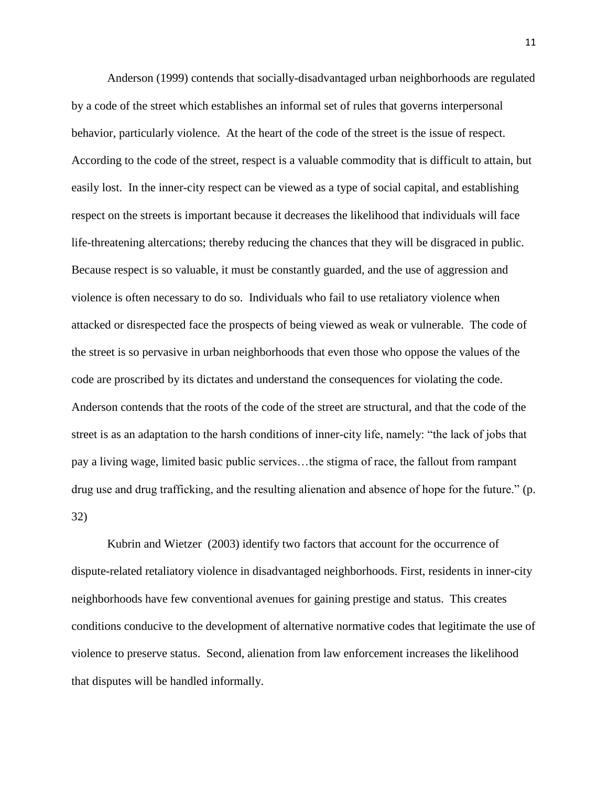Anderson [\(1999\)](#page-21-1) contends that socially-disadvantaged urban neighborhoods are regulated by a code of the street which establishes an informal set of rules that governs interpersonal behavior, particularly violence. At the heart of the code of the street is the issue of respect. According to the code of the street, respect is a valuable commodity that is difficult to attain, but easily lost. In the inner-city respect can be viewed as a type of social capital, and establishing respect on the streets is important because it decreases the likelihood that individuals will face life-threatening altercations; thereby reducing the chances that they will be disgraced in public. Because respect is so valuable, it must be constantly guarded, and the use of aggression and violence is often necessary to do so. Individuals who fail to use retaliatory violence when attacked or disrespected face the prospects of being viewed as weak or vulnerable. The code of the street is so pervasive in urban neighborhoods that even those who oppose the values of the code are proscribed by its dictates and understand the consequences for violating the code. Anderson contends that the roots of the code of the street are structural, and that the code of the street is as an adaptation to the harsh conditions of inner-city life, namely: "the lack of jobs that pay a living wage, limited basic public services…the stigma of race, the fallout from rampant drug use and drug trafficking, and the resulting alienation and absence of hope for the future." [\(p.](#page-21-1)  [32\)](#page-21-1)

Kubrin and Wietzer [\(2003\)](#page-22-7) identify two factors that account for the occurrence of dispute-related retaliatory violence in disadvantaged neighborhoods. First, residents in inner-city neighborhoods have few conventional avenues for gaining prestige and status. This creates conditions conducive to the development of alternative normative codes that legitimate the use of violence to preserve status. Second, alienation from law enforcement increases the likelihood that disputes will be handled informally.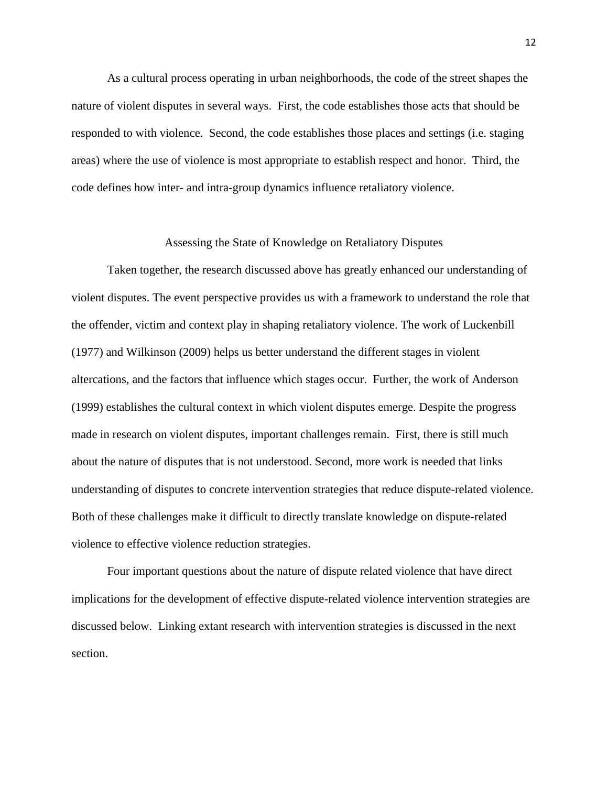As a cultural process operating in urban neighborhoods, the code of the street shapes the nature of violent disputes in several ways. First, the code establishes those acts that should be responded to with violence. Second, the code establishes those places and settings (i.e. staging areas) where the use of violence is most appropriate to establish respect and honor. Third, the code defines how inter- and intra-group dynamics influence retaliatory violence.

#### Assessing the State of Knowledge on Retaliatory Disputes

Taken together, the research discussed above has greatly enhanced our understanding of violent disputes. The event perspective provides us with a framework to understand the role that the offender, victim and context play in shaping retaliatory violence. The work of Luckenbill [\(1977\)](#page-22-5) and Wilkinson [\(2009\)](#page-23-0) helps us better understand the different stages in violent altercations, and the factors that influence which stages occur. Further, the work of Anderson [\(1999\)](#page-21-1) establishes the cultural context in which violent disputes emerge. Despite the progress made in research on violent disputes, important challenges remain. First, there is still much about the nature of disputes that is not understood. Second, more work is needed that links understanding of disputes to concrete intervention strategies that reduce dispute-related violence. Both of these challenges make it difficult to directly translate knowledge on dispute-related violence to effective violence reduction strategies.

Four important questions about the nature of dispute related violence that have direct implications for the development of effective dispute-related violence intervention strategies are discussed below. Linking extant research with intervention strategies is discussed in the next section.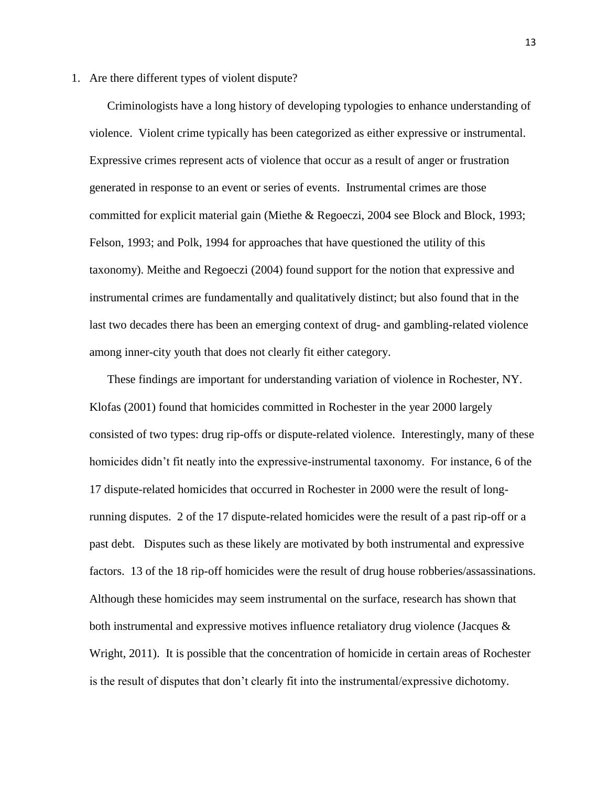#### 1. Are there different types of violent dispute?

Criminologists have a long history of developing typologies to enhance understanding of violence. Violent crime typically has been categorized as either expressive or instrumental. Expressive crimes represent acts of violence that occur as a result of anger or frustration generated in response to an event or series of events. Instrumental crimes are those committed for explicit material gain [\(Miethe & Regoeczi, 2004 see Block and Block, 1993;](#page-22-8)  [Felson, 1993; and Polk, 1994 for approaches that have questioned the utility of this](#page-22-8)  [taxonomy\)](#page-22-8). Meithe and Regoeczi [\(2004\)](#page-22-8) found support for the notion that expressive and instrumental crimes are fundamentally and qualitatively distinct; but also found that in the last two decades there has been an emerging context of drug- and gambling-related violence among inner-city youth that does not clearly fit either category.

These findings are important for understanding variation of violence in Rochester, NY. Klofas [\(2001\)](#page-22-9) found that homicides committed in Rochester in the year 2000 largely consisted of two types: drug rip-offs or dispute-related violence. Interestingly, many of these homicides didn't fit neatly into the expressive-instrumental taxonomy. For instance, 6 of the 17 dispute-related homicides that occurred in Rochester in 2000 were the result of longrunning disputes. 2 of the 17 dispute-related homicides were the result of a past rip-off or a past debt. Disputes such as these likely are motivated by both instrumental and expressive factors. 13 of the 18 rip-off homicides were the result of drug house robberies/assassinations. Although these homicides may seem instrumental on the surface, research has shown that both instrumental and expressive motives influence retaliatory drug violence (Jacques  $\&$ [Wright, 2011\)](#page-22-10). It is possible that the concentration of homicide in certain areas of Rochester is the result of disputes that don't clearly fit into the instrumental/expressive dichotomy.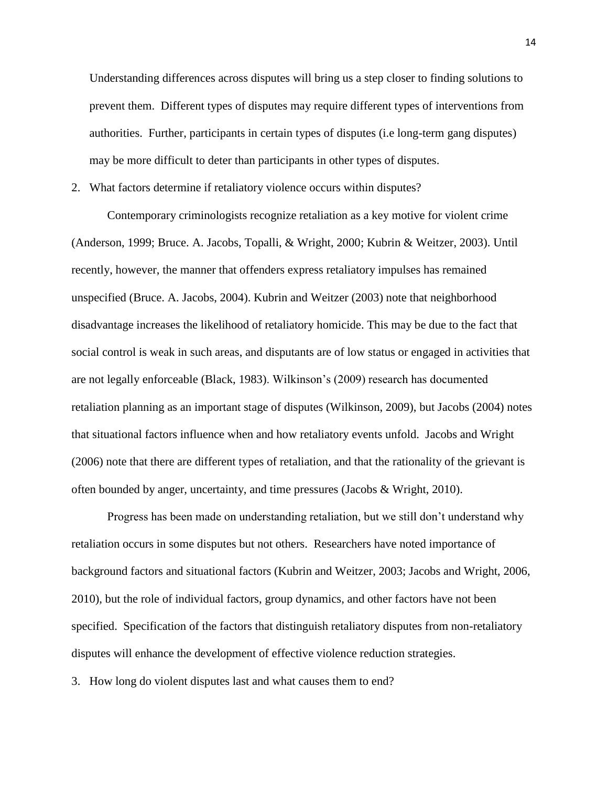Understanding differences across disputes will bring us a step closer to finding solutions to prevent them. Different types of disputes may require different types of interventions from authorities. Further, participants in certain types of disputes (i.e long-term gang disputes) may be more difficult to deter than participants in other types of disputes.

2. What factors determine if retaliatory violence occurs within disputes?

Contemporary criminologists recognize retaliation as a key motive for violent crime [\(Anderson,](#page-21-1) 1999; [Bruce. A. Jacobs, Topalli, & Wright, 2000;](#page-21-7) [Kubrin & Weitzer, 2003\)](#page-22-7). Until recently, however, the manner that offenders express retaliatory impulses has remained unspecified [\(Bruce. A. Jacobs, 2004\)](#page-21-8). Kubrin and Weitzer [\(2003\)](#page-22-7) note that neighborhood disadvantage increases the likelihood of retaliatory homicide. This may be due to the fact that social control is weak in such areas, and disputants are of low status or engaged in activities that are not legally enforceable [\(Black, 1983\)](#page-21-9). Wilkinson's (2009) research has documented retaliation planning as an important stage of disputes (Wilkinson, 2009), but Jacobs (2004) notes that situational factors influence when and how retaliatory events unfold. Jacobs and Wright (2006) note that there are different types of retaliation, and that the rationality of the grievant is often bounded by anger, uncertainty, and time pressures (Jacobs & Wright, 2010).

Progress has been made on understanding retaliation, but we still don't understand why retaliation occurs in some disputes but not others. Researchers have noted importance of background factors and situational factors (Kubrin and Weitzer, 2003; Jacobs and Wright, 2006, 2010), but the role of individual factors, group dynamics, and other factors have not been specified. Specification of the factors that distinguish retaliatory disputes from non-retaliatory disputes will enhance the development of effective violence reduction strategies.

3. How long do violent disputes last and what causes them to end?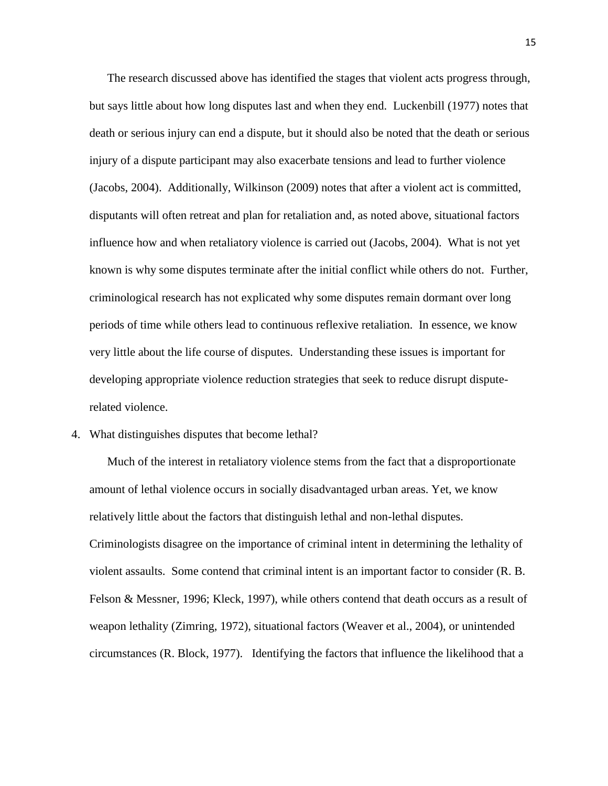The research discussed above has identified the stages that violent acts progress through, but says little about how long disputes last and when they end. Luckenbill (1977) notes that death or serious injury can end a dispute, but it should also be noted that the death or serious injury of a dispute participant may also exacerbate tensions and lead to further violence (Jacobs, 2004). Additionally, Wilkinson (2009) notes that after a violent act is committed, disputants will often retreat and plan for retaliation and, as noted above, situational factors influence how and when retaliatory violence is carried out (Jacobs, 2004). What is not yet known is why some disputes terminate after the initial conflict while others do not. Further, criminological research has not explicated why some disputes remain dormant over long periods of time while others lead to continuous reflexive retaliation. In essence, we know very little about the life course of disputes. Understanding these issues is important for developing appropriate violence reduction strategies that seek to reduce disrupt disputerelated violence.

### 4. What distinguishes disputes that become lethal?

Much of the interest in retaliatory violence stems from the fact that a disproportionate amount of lethal violence occurs in socially disadvantaged urban areas. Yet, we know relatively little about the factors that distinguish lethal and non-lethal disputes. Criminologists disagree on the importance of criminal intent in determining the lethality of violent assaults. Some contend that criminal intent is an important factor to consider [\(R. B.](#page-21-10)  [Felson & Messner, 1996;](#page-21-10) [Kleck, 1997\)](#page-22-11), while others contend that death occurs as a result of weapon lethality [\(Zimring, 1972\)](#page-23-5), situational factors [\(Weaver et al., 2004\)](#page-23-6), or unintended circumstances [\(R. Block, 1977\)](#page-21-11). Identifying the factors that influence the likelihood that a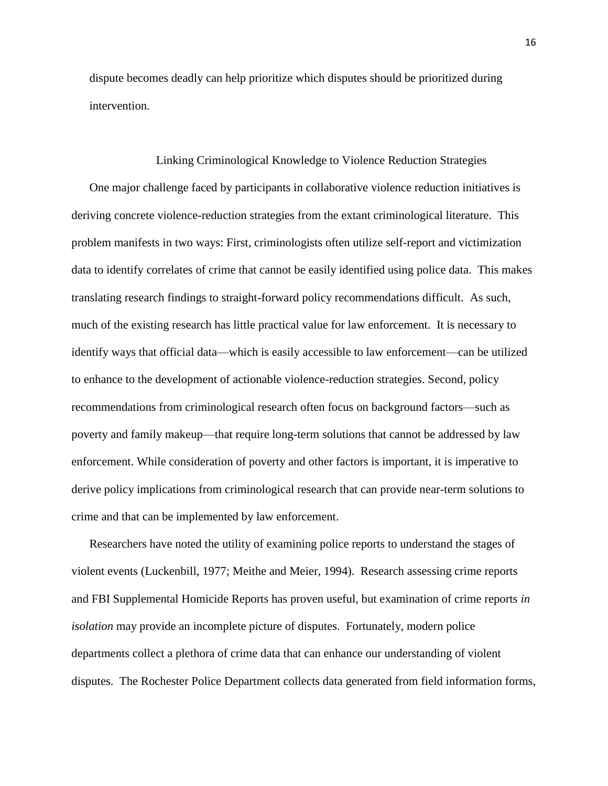dispute becomes deadly can help prioritize which disputes should be prioritized during intervention.

## Linking Criminological Knowledge to Violence Reduction Strategies

One major challenge faced by participants in collaborative violence reduction initiatives is deriving concrete violence-reduction strategies from the extant criminological literature. This problem manifests in two ways: First, criminologists often utilize self-report and victimization data to identify correlates of crime that cannot be easily identified using police data. This makes translating research findings to straight-forward policy recommendations difficult. As such, much of the existing research has little practical value for law enforcement. It is necessary to identify ways that official data—which is easily accessible to law enforcement—can be utilized to enhance to the development of actionable violence-reduction strategies. Second, policy recommendations from criminological research often focus on background factors—such as poverty and family makeup—that require long-term solutions that cannot be addressed by law enforcement. While consideration of poverty and other factors is important, it is imperative to derive policy implications from criminological research that can provide near-term solutions to crime and that can be implemented by law enforcement.

Researchers have noted the utility of examining police reports to understand the stages of violent events (Luckenbill, 1977; Meithe and Meier, 1994). Research assessing crime reports and FBI Supplemental Homicide Reports has proven useful, but examination of crime reports *in isolation* may provide an incomplete picture of disputes. Fortunately, modern police departments collect a plethora of crime data that can enhance our understanding of violent disputes. The Rochester Police Department collects data generated from field information forms,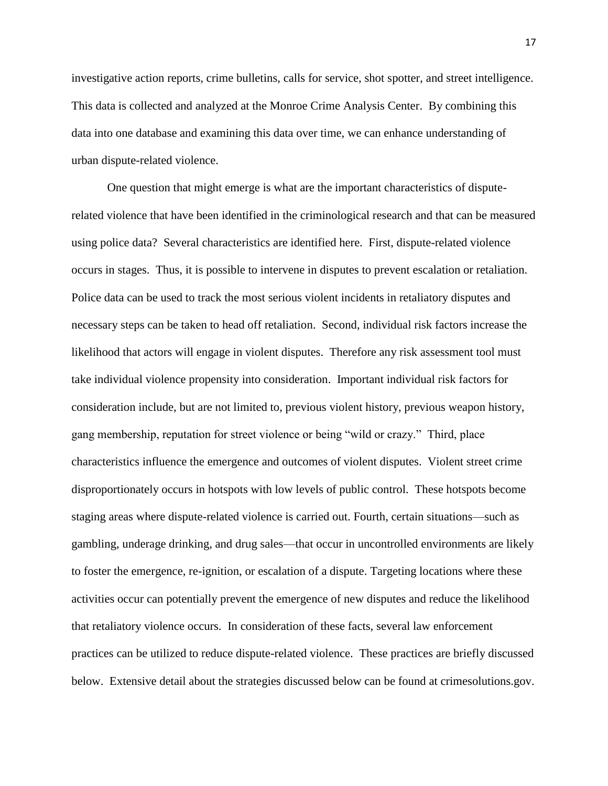investigative action reports, crime bulletins, calls for service, shot spotter, and street intelligence. This data is collected and analyzed at the Monroe Crime Analysis Center. By combining this data into one database and examining this data over time, we can enhance understanding of urban dispute-related violence.

One question that might emerge is what are the important characteristics of disputerelated violence that have been identified in the criminological research and that can be measured using police data? Several characteristics are identified here. First, dispute-related violence occurs in stages. Thus, it is possible to intervene in disputes to prevent escalation or retaliation. Police data can be used to track the most serious violent incidents in retaliatory disputes and necessary steps can be taken to head off retaliation. Second, individual risk factors increase the likelihood that actors will engage in violent disputes. Therefore any risk assessment tool must take individual violence propensity into consideration. Important individual risk factors for consideration include, but are not limited to, previous violent history, previous weapon history, gang membership, reputation for street violence or being "wild or crazy." Third, place characteristics influence the emergence and outcomes of violent disputes. Violent street crime disproportionately occurs in hotspots with low levels of public control. These hotspots become staging areas where dispute-related violence is carried out. Fourth, certain situations—such as gambling, underage drinking, and drug sales—that occur in uncontrolled environments are likely to foster the emergence, re-ignition, or escalation of a dispute. Targeting locations where these activities occur can potentially prevent the emergence of new disputes and reduce the likelihood that retaliatory violence occurs. In consideration of these facts, several law enforcement practices can be utilized to reduce dispute-related violence. These practices are briefly discussed below. Extensive detail about the strategies discussed below can be found at crimesolutions.gov.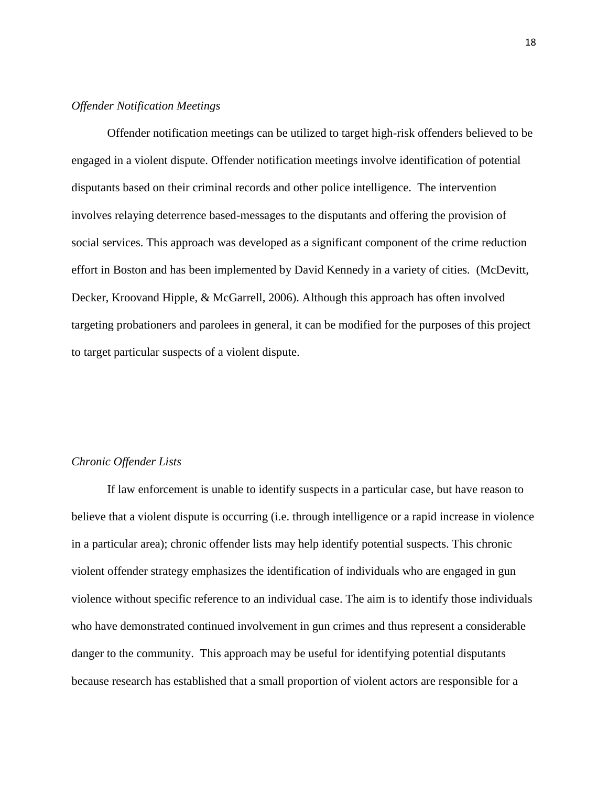# *Offender Notification Meetings*

Offender notification meetings can be utilized to target high-risk offenders believed to be engaged in a violent dispute. Offender notification meetings involve identification of potential disputants based on their criminal records and other police intelligence. The intervention involves relaying deterrence based-messages to the disputants and offering the provision of social services. This approach was developed as a significant component of the crime reduction effort in Boston and has been implemented by David Kennedy in a variety of cities. [\(McDevitt,](#page-22-12)  [Decker, Kroovand Hipple, & McGarrell, 2006\)](#page-22-12). Although this approach has often involved targeting probationers and parolees in general, it can be modified for the purposes of this project to target particular suspects of a violent dispute.

#### *Chronic Offender Lists*

If law enforcement is unable to identify suspects in a particular case, but have reason to believe that a violent dispute is occurring (i.e. through intelligence or a rapid increase in violence in a particular area); chronic offender lists may help identify potential suspects. This chronic violent offender strategy emphasizes the identification of individuals who are engaged in gun violence without specific reference to an individual case. The aim is to identify those individuals who have demonstrated continued involvement in gun crimes and thus represent a considerable danger to the community. This approach may be useful for identifying potential disputants because research has established that a small proportion of violent actors are responsible for a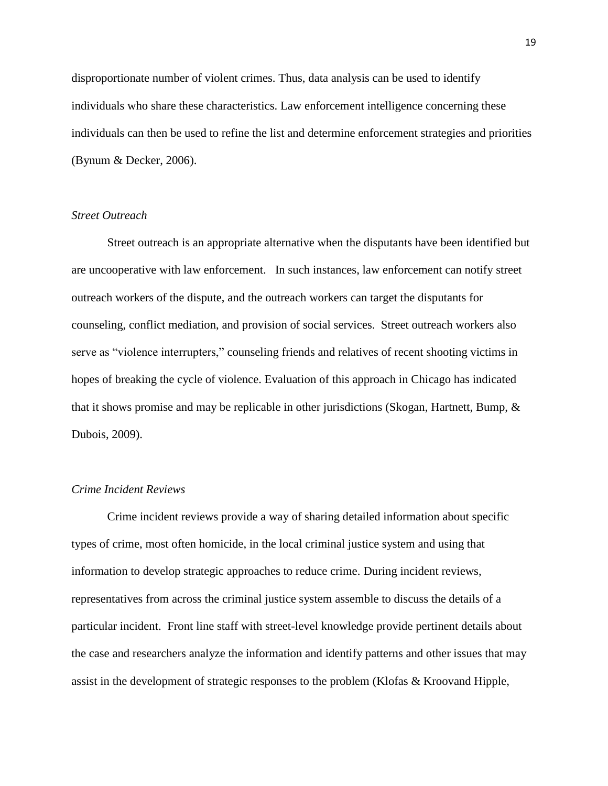disproportionate number of violent crimes. Thus, data analysis can be used to identify individuals who share these characteristics. Law enforcement intelligence concerning these individuals can then be used to refine the list and determine enforcement strategies and priorities [\(Bynum & Decker, 2006\)](#page-21-12).

# *Street Outreach*

Street outreach is an appropriate alternative when the disputants have been identified but are uncooperative with law enforcement. In such instances, law enforcement can notify street outreach workers of the dispute, and the outreach workers can target the disputants for counseling, conflict mediation, and provision of social services. Street outreach workers also serve as "violence interrupters," counseling friends and relatives of recent shooting victims in hopes of breaking the cycle of violence. Evaluation of this approach in Chicago has indicated that it shows promise and may be replicable in other jurisdictions [\(Skogan, Hartnett, Bump, &](#page-23-7)  [Dubois, 2009\)](#page-23-7).

# *Crime Incident Reviews*

Crime incident reviews provide a way of sharing detailed information about specific types of crime, most often homicide, in the local criminal justice system and using that information to develop strategic approaches to reduce crime. During incident reviews, representatives from across the criminal justice system assemble to discuss the details of a particular incident. Front line staff with street-level knowledge provide pertinent details about the case and researchers analyze the information and identify patterns and other issues that may assist in the development of strategic responses to the problem [\(Klofas & Kroovand Hipple,](#page-22-13)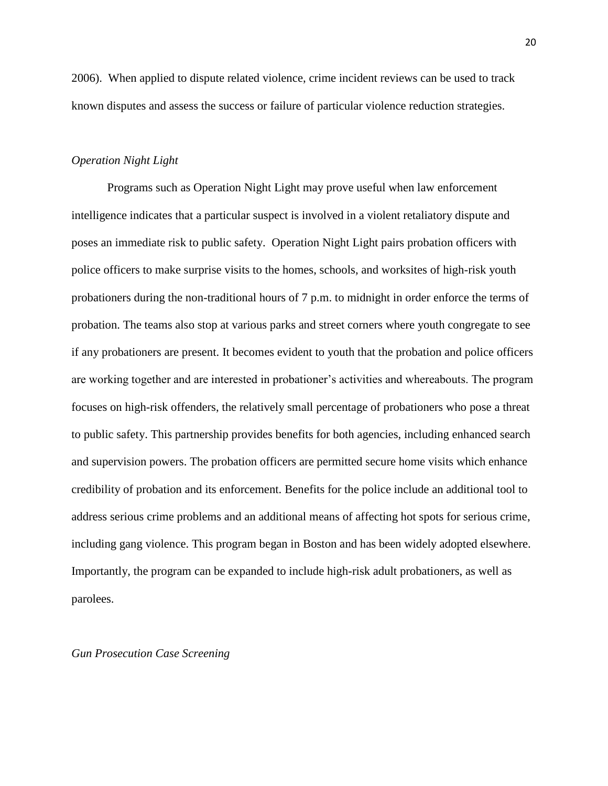[2006\)](#page-22-13). When applied to dispute related violence, crime incident reviews can be used to track known disputes and assess the success or failure of particular violence reduction strategies.

# *Operation Night Light*

Programs such as Operation Night Light may prove useful when law enforcement intelligence indicates that a particular suspect is involved in a violent retaliatory dispute and poses an immediate risk to public safety. Operation Night Light pairs probation officers with police officers to make surprise visits to the homes, schools, and worksites of high-risk youth probationers during the non-traditional hours of 7 p.m. to midnight in order enforce the terms of probation. The teams also stop at various parks and street corners where youth congregate to see if any probationers are present. It becomes evident to youth that the probation and police officers are working together and are interested in probationer's activities and whereabouts. The program focuses on high-risk offenders, the relatively small percentage of probationers who pose a threat to public safety. This partnership provides benefits for both agencies, including enhanced search and supervision powers. The probation officers are permitted secure home visits which enhance credibility of probation and its enforcement. Benefits for the police include an additional tool to address serious crime problems and an additional means of affecting hot spots for serious crime, including gang violence. This program began in Boston and has been widely adopted elsewhere. Importantly, the program can be expanded to include high-risk adult probationers, as well as parolees.

*Gun Prosecution Case Screening*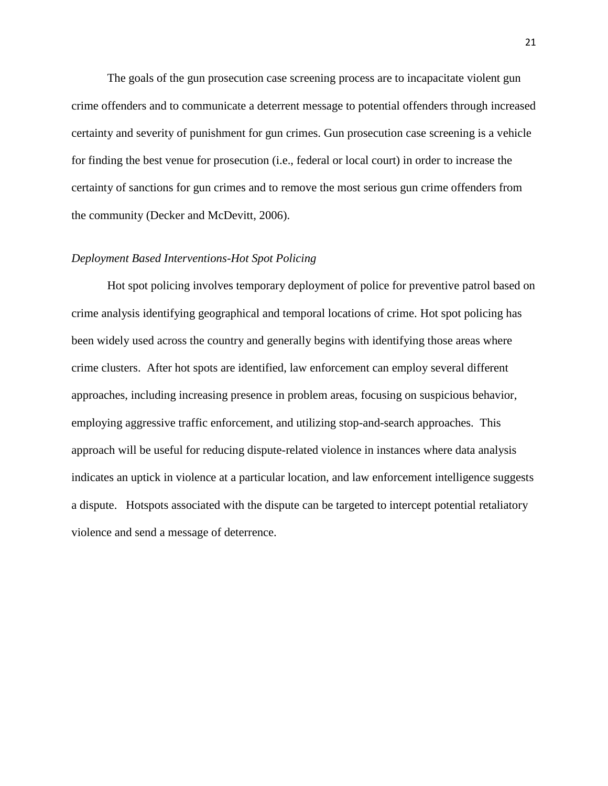The goals of the gun prosecution case screening process are to incapacitate violent gun crime offenders and to communicate a deterrent message to potential offenders through increased certainty and severity of punishment for gun crimes. Gun prosecution case screening is a vehicle for finding the best venue for prosecution (i.e., federal or local court) in order to increase the certainty of sanctions for gun crimes and to remove the most serious gun crime offenders from the community (Decker and McDevitt, 2006).

# *Deployment Based Interventions-Hot Spot Policing*

Hot spot policing involves temporary deployment of police for preventive patrol based on crime analysis identifying geographical and temporal locations of crime. Hot spot policing has been widely used across the country and generally begins with identifying those areas where crime clusters. After hot spots are identified, law enforcement can employ several different approaches, including increasing presence in problem areas, focusing on suspicious behavior, employing aggressive traffic enforcement, and utilizing stop-and-search approaches. This approach will be useful for reducing dispute-related violence in instances where data analysis indicates an uptick in violence at a particular location, and law enforcement intelligence suggests a dispute. Hotspots associated with the dispute can be targeted to intercept potential retaliatory violence and send a message of deterrence.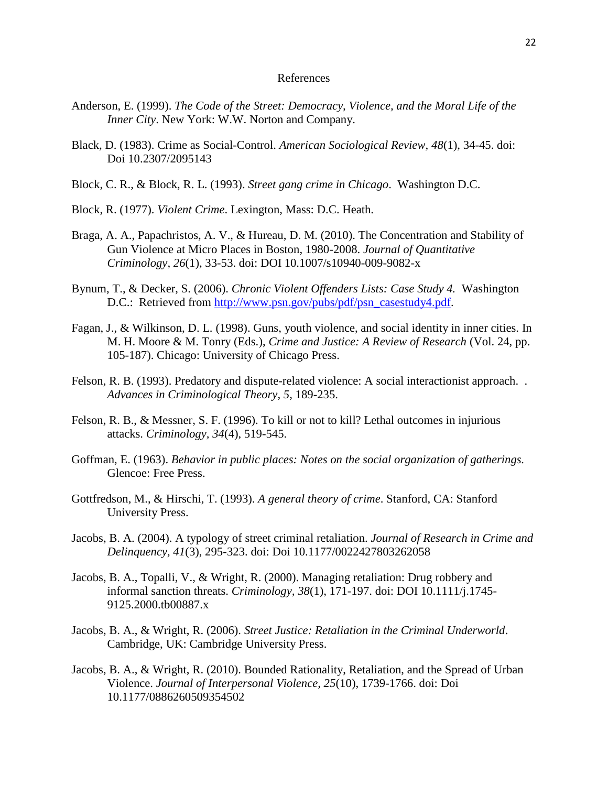#### References

- <span id="page-21-1"></span>Anderson, E. (1999). *The Code of the Street: Democracy, Violence, and the Moral Life of the Inner City*. New York: W.W. Norton and Company.
- <span id="page-21-9"></span>Black, D. (1983). Crime as Social-Control. *American Sociological Review, 48*(1), 34-45. doi: Doi 10.2307/2095143
- Block, C. R., & Block, R. L. (1993). *Street gang crime in Chicago*. Washington D.C.
- <span id="page-21-11"></span>Block, R. (1977). *Violent Crime*. Lexington, Mass: D.C. Heath.
- <span id="page-21-2"></span>Braga, A. A., Papachristos, A. V., & Hureau, D. M. (2010). The Concentration and Stability of Gun Violence at Micro Places in Boston, 1980-2008. *Journal of Quantitative Criminology, 26*(1), 33-53. doi: DOI 10.1007/s10940-009-9082-x
- <span id="page-21-12"></span>Bynum, T., & Decker, S. (2006). *Chronic Violent Offenders Lists: Case Study 4.* Washington D.C.: Retrieved from [http://www.psn.gov/pubs/pdf/psn\\_casestudy4.pdf.](http://www.psn.gov/pubs/pdf/psn_casestudy4.pdf)
- <span id="page-21-4"></span>Fagan, J., & Wilkinson, D. L. (1998). Guns, youth violence, and social identity in inner cities. In M. H. Moore & M. Tonry (Eds.), *Crime and Justice: A Review of Research* (Vol. 24, pp. 105-187). Chicago: University of Chicago Press.
- Felson, R. B. (1993). Predatory and dispute-related violence: A social interactionist approach. . *Advances in Criminological Theory, 5*, 189-235.
- <span id="page-21-10"></span>Felson, R. B., & Messner, S. F. (1996). To kill or not to kill? Lethal outcomes in injurious attacks. *Criminology, 34*(4), 519-545.
- <span id="page-21-3"></span>Goffman, E. (1963). *Behavior in public places: Notes on the social organization of gatherings.* Glencoe: Free Press.
- <span id="page-21-0"></span>Gottfredson, M., & Hirschi, T. (1993). *A general theory of crime*. Stanford, CA: Stanford University Press.
- <span id="page-21-8"></span>Jacobs, B. A. (2004). A typology of street criminal retaliation. *Journal of Research in Crime and Delinquency, 41*(3), 295-323. doi: Doi 10.1177/0022427803262058
- <span id="page-21-7"></span>Jacobs, B. A., Topalli, V., & Wright, R. (2000). Managing retaliation: Drug robbery and informal sanction threats. *Criminology, 38*(1), 171-197. doi: DOI 10.1111/j.1745- 9125.2000.tb00887.x
- <span id="page-21-5"></span>Jacobs, B. A., & Wright, R. (2006). *Street Justice: Retaliation in the Criminal Underworld*. Cambridge, UK: Cambridge University Press.
- <span id="page-21-6"></span>Jacobs, B. A., & Wright, R. (2010). Bounded Rationality, Retaliation, and the Spread of Urban Violence. *Journal of Interpersonal Violence, 25*(10), 1739-1766. doi: Doi 10.1177/0886260509354502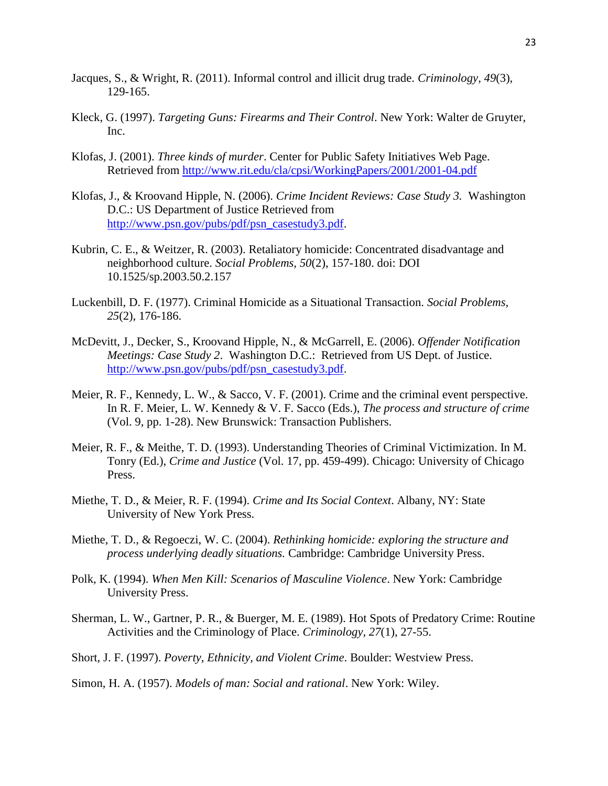- <span id="page-22-10"></span>Jacques, S., & Wright, R. (2011). Informal control and illicit drug trade. *Criminology, 49*(3), 129-165.
- <span id="page-22-11"></span>Kleck, G. (1997). *Targeting Guns: Firearms and Their Control*. New York: Walter de Gruyter, Inc.
- <span id="page-22-9"></span>Klofas, J. (2001). *Three kinds of murder*. Center for Public Safety Initiatives Web Page. Retrieved from<http://www.rit.edu/cla/cpsi/WorkingPapers/2001/2001-04.pdf>
- <span id="page-22-13"></span>Klofas, J., & Kroovand Hipple, N. (2006). *Crime Incident Reviews: Case Study 3.* Washington D.C.: US Department of Justice Retrieved from [http://www.psn.gov/pubs/pdf/psn\\_casestudy3.pdf.](http://www.psn.gov/pubs/pdf/psn_casestudy3.pdf)
- <span id="page-22-7"></span>Kubrin, C. E., & Weitzer, R. (2003). Retaliatory homicide: Concentrated disadvantage and neighborhood culture. *Social Problems, 50*(2), 157-180. doi: DOI 10.1525/sp.2003.50.2.157
- <span id="page-22-5"></span>Luckenbill, D. F. (1977). Criminal Homicide as a Situational Transaction. *Social Problems, 25*(2), 176-186.
- <span id="page-22-12"></span>McDevitt, J., Decker, S., Kroovand Hipple, N., & McGarrell, E. (2006). *Offender Notification Meetings: Case Study 2*. Washington D.C.: Retrieved from US Dept. of Justice. [http://www.psn.gov/pubs/pdf/psn\\_casestudy3.pdf.](http://www.psn.gov/pubs/pdf/psn_casestudy3.pdf)
- <span id="page-22-0"></span>Meier, R. F., Kennedy, L. W., & Sacco, V. F. (2001). Crime and the criminal event perspective. In R. F. Meier, L. W. Kennedy & V. F. Sacco (Eds.), *The process and structure of crime* (Vol. 9, pp. 1-28). New Brunswick: Transaction Publishers.
- <span id="page-22-3"></span>Meier, R. F., & Meithe, T. D. (1993). Understanding Theories of Criminal Victimization. In M. Tonry (Ed.), *Crime and Justice* (Vol. 17, pp. 459-499). Chicago: University of Chicago Press.
- <span id="page-22-2"></span>Miethe, T. D., & Meier, R. F. (1994). *Crime and Its Social Context*. Albany, NY: State University of New York Press.
- <span id="page-22-8"></span>Miethe, T. D., & Regoeczi, W. C. (2004). *Rethinking homicide: exploring the structure and process underlying deadly situations.* Cambridge: Cambridge University Press.
- Polk, K. (1994). *When Men Kill: Scenarios of Masculine Violence*. New York: Cambridge University Press.
- <span id="page-22-4"></span>Sherman, L. W., Gartner, P. R., & Buerger, M. E. (1989). Hot Spots of Predatory Crime: Routine Activities and the Criminology of Place. *Criminology, 27*(1), 27-55.
- <span id="page-22-1"></span>Short, J. F. (1997). *Poverty, Ethnicity, and Violent Crime*. Boulder: Westview Press.

<span id="page-22-6"></span>Simon, H. A. (1957). *Models of man: Social and rational*. New York: Wiley.